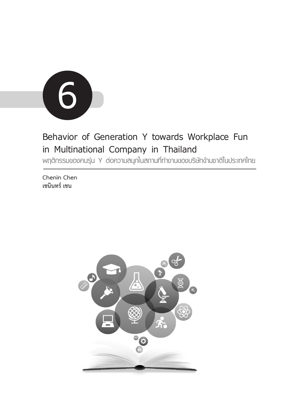

# **Behavior of Generation Y towards Workplace Fun in Multinational Company in Thailand**

**พฤติกรรมของคนรุ่น Y ต่อความสนุกในสถานที่ทำงานของบริษัทข้ามชาติในประเทศไทย**

**Chenin Chen เชนินทร์ เชน**

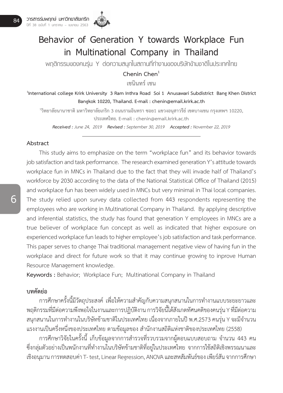

# **Behavior of Generation Y towards Workplace Fun in Multinational Company in Thailand**

**พฤติกรรมของคนรุ่น Y ต่อความสนุกในสถานที่ทำงานของบริษัทข้ามชาติในประเทศไทย**

**Chenin Chen<sup>1</sup>**

**เชนินทร์ เชน**

**1 International college Krirk University 3 Ram Inthra Road Soi 1 Anusawari Subdistrict Bang Khen District Bangkok 10220, Thailand. E-mail : chenin@email.krirk.ac.th**

**1 วิทยาลัยนานาชาติ มหาวิทยาลัยเกริก 3 ถนนรามอินทรา ซอย1 แขวงอนุสาวรีย์ เขตบางเขน กรุงเทพฯ 10220, ประเทศไทย. E-mail : chenin@email.krirk.ac.th**

*Received : June 24, 2019 Revised : September 30, 2019 Accepted : November 22, 2019*

#### **Abstract**

 This study aims to emphasize on the term "workplace fun" and its behavior towards job satisfaction and task performance. The research examined generation Y's attitude towards workplace fun in MNCs in Thailand due to the fact that they will invade half of Thailand's workforce by 2030 according to the data of the National Statistical Office of Thailand (2015) and workplace fun has been widely used in MNCs but very minimal in Thai local companies. The study relied upon survey data collected from 443 respondents representing the employees who are working in Multinational Company in Thailand. By applying descriptive and inferential statistics, the study has found that generation Y employees in MNCs are a true believer of workplace fun concept as well as indicated that higher exposure on experienced workplace fun leads to higher employee's job satisfaction and task performance. This paper serves to change Thai traditional management negative view of having fun in the workplace and direct for future work so that it may continue growing to inprove Human Resource Management knowledge.

**Keywords :** Behavior; Workplace Fun; Multinational Company in Thailand

# **บทคัดย่อ**

การศึกษาครั้งนี้มีวัตถุประสงค์ เพื่อให้ความสำคัญกับความสนุกสนานในการทำงานแบบระยะยาวและ พฤติกรรมที่มีต่อความพึงพอใจในงานและการปฏิบัติงาน การวิจัยนี้ได้สังเกตทัศนคติของคนรุ่น Y ที่มีต่อความ สนุกสนานในการทำงานในบริษัทข้ามชาติในประเทศไทย เนื่องจากภายในปี พ.ศ.2573 คนรุ่น Y จะมีจำนวน แรงงานเป็นครึ่งหนึ่งของประเทศไทย ตามข้อมูลของ สำนักงานสถิติแห่งชาติของประเทศไทย (2558)

การศึกษาวิจัยในครั้งนี้ เก็บข้อมูลจากการสำรวจที่รวบรวมจากผู้ตอบแบบสอบถาม จำนวน 443 คน ซึ่งกลุ่มตัวอย่างเป็นพนักงานที่ทำงานในบริษัทข้ามชาติที่อยู่ในประเทศไทย จากการใช้สถิติเชิงพรรณนาและ เชิงอนุมาน การทดสอบค่า T- test, Linear Regression, ANOVA และสหสัมพันธ์ของ เพียร์สัน จากการศึกษา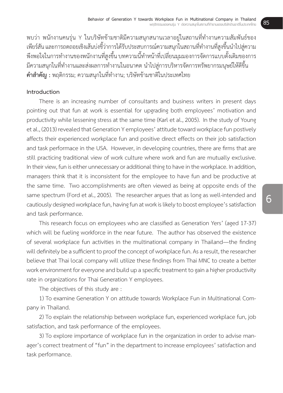พบว่า พนักงานคนร่น Y ในบริษัทข้ามชาติมีความสนุกสนานเวลาอย่ในสถานที่ทำงานความสัมพันธ์ของ เพียร์สัน และการถดถอยเชิงเส้นบ่งชี้ว่าการได้รับประสบการณ์ความสนุกในสถานที่ทำงานที่สงขึ้นนำไปส่ความ ้พึงพอใจในการทำงานของพนักงานที่สงขึ้น บทความนี้ทำหน้าที่เปลี่ยนมมมองการจัดการแบบดั้งเดิมของการ มีความสนุกในที่ทำงานและส่งผลการทำงานในอนาคต นำไปส่การบริหารจัดการทรัพยากรมนุษย์ให้ดีขึ้น **คำสำคัญ :** พฤติกรรม; ความสนุกในที่ท�ำงาน; บริษัทข้ามชาติในประเทศไทย

# **Introduction**

 There is an increasing number of consultants and business writers in present days pointing out that fun at work is essential for upgrading both employees' motivation and productivity while lessening stress at the same time (Karl et al., 2005). In the study of Young et al., (2013) revealed that Generation Y employees' attitude toward workplace fun postively affects their experienced workplace fun and positive direct effects on their job satisfaction and task performace in the USA. However, in developing countries, there are firms that are still practicing traditional view of work culture where work and fun are mutually exclusive. In their view, fun is either unnecessary or additional thing to have in the workplace. In addition, managers think that it is inconsistent for the employee to have fun and be productive at the same time. Two accomplishments are often viewed as being at opposite ends of the same spectrum (Ford et al., 2005). The researcher argues that as long as well-intended and cautiously designed workplace fun, having fun at work is likely to boost employee's satisfaction and task performance.

 This research focus on employees who are classified as Generation Yers' (aged 17-37) which will be fueling workforce in the near future. The author has observed the existence of several workplace fun activities in the multinational company in Thailand—the finding will definitely be a sufficient to proof the concept of workplace fun. As a result, the researcher believe that Thai local company will utilize these findings from Thai MNC to create a better work environment for everyone and build up a specific treatment to gain a higher productivity rate in organizations for Thai Generation Y employees.

 The objectives of this study are :

 1) To examine Generation Y on attitude towards Workplace Fun in Multinational Company in Thailand.

 2) To explain the relationship between workplace fun, experienced workplace fun, job satisfaction, and task performance of the employees.

 3) To explore importance of workplace fun in the organization in order to advise manager's correct treatment of "fun" in the department to increase employees' satisfaction and task performance.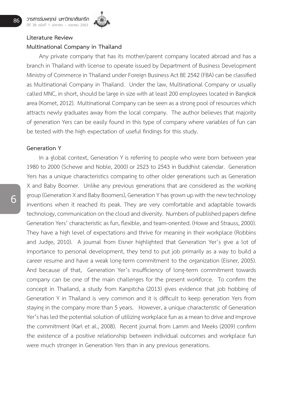

# **Literature Review**

# **Multinational Company in Thailand**

 Any private company that has its mother/parent company located abroad and has a branch in Thailand with license to operate issued by Department of Business Development Ministry of Commerce in Thailand under Foreign Business Act BE 2542 (FBA) can be classified as Multinational Company in Thailand. Under the law, Multinational Company or usually called MNC, in short, should be large in size with at least 200 employees located in Bangkok area (Komet, 2012). Multinational Company can be seen as a strong pool of resources which attracts newly graduates away from the local company. The author believes that majority of generation Yers can be easily found in this type of company where variables of fun can be tested with the high expectation of useful findings for this study.

#### **Generation Y**

 In a global context, Generation Y is referring to people who were born between year 1980 to 2000 (Schewe and Noble, 2000) or 2523 to 2543 in Buddhist calendar. Generation Yers has a unique characteristics comparing to other older generations such as Generation X and Baby Boomer. Unlike any previous generations that are considered as the working group (Generation X and Baby Boomers), Generation Y has grown up with the new technology inventions when it reached its peak. They are very comfortable and adaptable towards technology, communication on the cloud and diversity. Numbers of published papers define Generation Yers' characteristic as fun, flexible, and team-oriented. (Howe and Strauss, 2000). They have a high level of expectations and thrive for meaning in their workplace (Robbins and Judge, 2010). A journal from Eisner highlighted that Generation Yer's give a lot of importance to personal development, they tend to put job primarily as a way to build a career resume and have a weak long-term commitment to the organization (Eisner, 2005). And because of that, Generation Yer's insufficiency of long-term commitment towards company can be one of the main challenges for the present workforce. To confirm the concept in Thailand, a study from Kanpitcha (2013) gives evidence that job hobbing of Generation Y in Thailand is very common and it is difficult to keep generation Yers from staying in the company more than 5 years. However, a unique characteristicof Generation Yer's has led the potential solution of utilizing workplace fun as a mean to drive and improve the commitment (Karl et al., 2008). Recent journal from Lamm and Meeks (2009) confirm the existence of a positive relationship between individual outcomes and workplace fun were much stronger in Generation Yers than in any previous generations.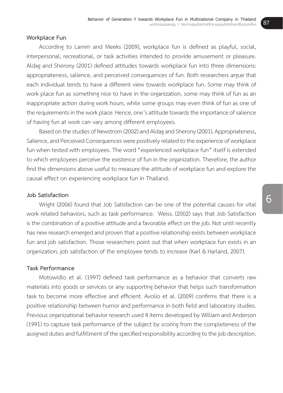#### **Workplace Fun**

 According to Lamm and Meeks (2009), workplace fun is defined as playful, social, interpersonal, recreational, or task activities intended to provide amusement or pleasure. Aldag and Sherony (2001) defined attitudes towards workplace fun into three dimensions: appropriateness, salience, and perceived consequences of fun. Both researchers argue that each individual tends to have a different view towards workplace fun. Some may think of work place fun as something nice to have in the organization, some may think of fun as an inappropriate action during work hours, while some groups may even think of fun as one of the requirements in the work place. Hence, one's attitude towards the importance of salience of having fun at work can vary among different employees.

Based on the studies of Newstrom (2002) and Aldag and Sherony (2001), Appropriateness, Salience, and Perceived Consequences were positively related to the experience of workplace fun when tested with employees. The word "experienced workplace fun" itself is extended to which employees perceive the existence of fun in the organization. Therefore, the author find the dimensions above useful to measure the attitude of workplace fun and explore the causal effect on experiencing workplace fun in Thailand.

# **Job Satisfaction**

 Wright (2006) found that Job Satisfaction can be one of the potential causes for vital work related behaviors, such as task performance. Weiss. (2002) says that Job Satisfaction is the combination of a positive attitude and a favorable effect on the job. Not until recently has new research emerged and proven that a positive relationship exists between workplace fun and job satisfaction. Those researchers point out that when workplace fun exists in an organization, job satisfaction of the employee tends to increase (Karl & Harland, 2007).

# **Task Performance**

 Motowidlo et al. (1997) defined task performance as a behavior that converts raw materials into goods or services or any supporting behavior that helps such transformation task to become more effective and efficient. Avolio et al. (2009) confirms that there is a positive relationship between humor and performance in both field and laboratory studies. Previous organizational behavior research used 4 items developed by William and Anderson (1991) to capture task performance of the subject by scoring from the completeness of the assigned duties and fulfillment of the specified responsibility according to the job description.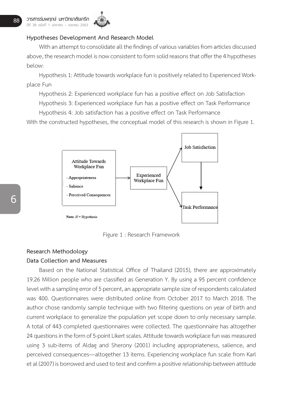

# **Hypotheses Development And Research Model**

With an attempt to consolidate all the findings of various variables from articles discussed above, the research model is now consistent to form solid reasons that offer the 4 hypotheses below:

Hypothesis 1: Attitude towards workplace fun is positively related to Experienced Workplace Fun

 Hypothesis 2: Experienced workplace fun has a positive effect on Job Satisfaction Hypothesis 3: Experienced workplace fun has a positive effect on Task Performance

 Hypothesis 4: Job satisfaction has a positive effect on Task Performance

With the constructed hypotheses, the conceptual model of this research is shown in Figure 1.



Figure 1 : Research Framework Figure 1 : Research Framework

# **Research Methodology**

# **Data Collection and Measures**

Based on the National Statistical Office of Thailand (2015), there are approximately 19.26 Million people who are classified as Generation Y. By using a 95 percent confidence level with a sampling error of 5 percent, an appropriate sample size of respondents calculated was 400. Questionnaires were distributed online from October 2017 to March 2018. The author chose randomly sample technique with two filtering questions on year of birth and current workplace to generalize the population yet scope down to only necessary sample. A total of 443 completed questionnaires were collected. The questionnaire has altogether 24 questions in the form of 5-point Likert scales. Attitude towards workplace fun was measured using 3 sub-items of Aldag and Sherony (2001) including appropriateness, salience, and perceived consequences—altogether 13 items. Experiencing workplace fun scale from Karl et al (2007) is borrowed and used to test and confirm a positive relationship between attitude pointert to consequences. Attogether to terms: Experiencing moniplace fun seate from hard<br>at al (2007) is borrowed and used to test and confirm a positive relationship between attitude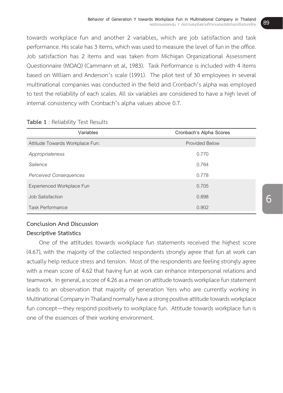towards workplace fun and another 2 variables, which are job satisfaction and task performance. His scale has 3 items, which was used to measure the level of fun in the office. Job satisfaction has 2 items and was taken from Michigan Organizational Assessment Questionnaire (MOAQ) (Cammann et al, 1983). Task Performance is included with 4 items based on William and Anderson's scale (1991). The pilot test of 30 employees in several multinational companies was conducted in the field and Cronbach's alpha was employed to test the reliability of each scales. All six variables are considered to have a high level of internal consistency with Cronbach's alpha values above 0.7.

| Variables                       | Cronbach's Alpha Scores |
|---------------------------------|-------------------------|
| Attitude Towards Workplace Fun: | <b>Provided Below</b>   |
| Appropriateness                 | 0.770                   |
| Salience                        | 0.764                   |
| <b>Perceived Consequences</b>   | 0.778                   |
| Experienced Workplace Fun       | 0.705                   |
| Job Satisfaction                | 0.898                   |
| <b>Task Performance</b>         | 0.902                   |

## **Table 1** : Reliability Test Results

#### **Conclusion And Discussion**

# **Descriptive Statistics**

 One of the attitudes towards workplace fun statements received the highest score (4.67), with the majority of the collected respondents strongly agree that fun at work can actually help reduce stress and tension. Most of the respondents are feeling strongly agree with a mean score of 4.62 that having fun at work can enhance interpersonal relations and teamwork. In general, a score of 4.26 as a mean on attitude towards workplace fun statement leads to an observation that majority of generation Yers who are currently working in Multinational Company in Thailand normally have a strong positive attitude towards workplace fun concept—they respond positively to workplace fun. Attitude towards workplace fun is one of the essences of their working environment.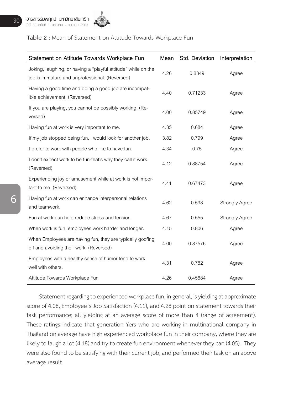

# **Table 2 :** Mean of Statement on Attitude Towards Workplace Fun

| Statement on Attitude Towards Workplace Fun                                                                     | Mean | Std. Deviation | Interpretation        |
|-----------------------------------------------------------------------------------------------------------------|------|----------------|-----------------------|
| Joking, laughing, or having a "playful attitude" while on the<br>job is immature and unprofessional. (Reversed) | 4.26 | 0.8349         | Agree                 |
| Having a good time and doing a good job are incompat-<br>ible achievement. (Reversed)                           | 4.40 | 0.71233        | Agree                 |
| If you are playing, you cannot be possibly working. (Re-<br>versed)                                             | 4.00 | 0.85749        | Agree                 |
| Having fun at work is very important to me.                                                                     | 4.35 | 0.684          | Agree                 |
| If my job stopped being fun, I would look for another job.                                                      | 3.82 | 0.799          | Agree                 |
| I prefer to work with people who like to have fun.                                                              | 4.34 | 0.75           | Agree                 |
| I don't expect work to be fun-that's why they call it work.<br>(Reversed)                                       | 4.12 | 0.88754        | Agree                 |
| Experiencing joy or amusement while at work is not impor-<br>tant to me. (Reversed)                             | 4.41 | 0.67473        | Agree                 |
| Having fun at work can enhance interpersonal relations<br>and teamwork.                                         | 4.62 | 0.598          | Strongly Agree        |
| Fun at work can help reduce stress and tension.                                                                 | 4.67 | 0.555          | <b>Strongly Agree</b> |
| When work is fun, employees work harder and longer.                                                             | 4.15 | 0.806          | Agree                 |
| When Employees are having fun, they are typically goofing<br>off and avoiding their work. (Reversed)            | 4.00 | 0.87576        | Agree                 |
| Employees with a healthy sense of humor tend to work<br>well with others.                                       | 4.31 | 0.782          | Agree                 |
| Attitude Towards Workplace Fun                                                                                  | 4.26 | 0.45684        | Agree                 |

Statement regarding to experienced workplace fun, in general, is yielding at approximate score of 4.08, Employee's Job Satisfaction (4.11), and 4.28 point on statement towards their task performance; all yielding at an average score of more than 4 (range of agreement). These ratings indicate that generation Yers who are working in multinational company in Thailand on average have high experienced workplace fun in their company, where they are likely to laugh a lot (4.18) and try to create fun environment whenever they can (4.05). They were also found to be satisfying with their current job, and performed their task on an above average result.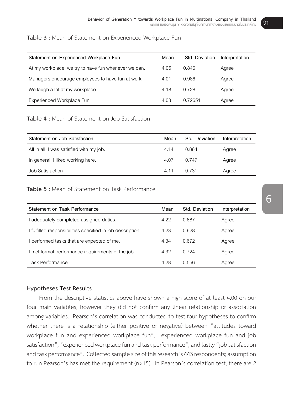## **Table 3 :** Mean of Statement on Experienced Workplace Fun

| Statement on Experienced Workplace Fun               | Mean | Std. Deviation | Interpretation |
|------------------------------------------------------|------|----------------|----------------|
| At my workplace, we try to have fun whenever we can. | 4.05 | 0.846          | Agree          |
| Managers encourage employees to have fun at work.    | 4.01 | 0.986          | Agree          |
| We laugh a lot at my workplace.                      | 4.18 | 0.728          | Agree          |
| Experienced Workplace Fun                            | 4.08 | 0.72651        | Agree          |

# **Table 4 :** Mean of Statement on Job Satisfaction

| Statement on Job Satisfaction            | Mean | Std. Deviation | Interpretation |
|------------------------------------------|------|----------------|----------------|
| All in all, I was satisfied with my job. | 4.14 | 0.864          | Agree          |
| In general, I liked working here.        | 4.07 | 0.747          | Agree          |
| Job Satisfaction                         | 4.11 | 0.731          | Agree          |

# **Table 5 :** Mean of Statement on Task Performance

| Statement on Task Performance                              | Mean | Std. Deviation | Interpretation |
|------------------------------------------------------------|------|----------------|----------------|
| I adequately completed assigned duties.                    | 4.22 | 0.687          | Agree          |
| I fulfilled responsibilities specified in job description. | 4.23 | 0.628          | Agree          |
| I performed tasks that are expected of me.                 | 4.34 | 0.672          | Agree          |
| I met formal performance requirements of the job.          | 4.32 | 0.724          | Agree          |
| Task Performance                                           | 4.28 | 0.556          | Agree          |

# **Hypotheses Test Results**

 From the descriptive statistics above have shown a high score of at least 4.00 on our four main variables, however they did not confirm any linear relationship or association among variables. Pearson's correlation was conducted to test four hypotheses to confirm whether there is a relationship (either positive or negative) between "attitudes toward workplace fun and experienced workplace fun", "experienced workplace fun and job satisfaction", "experienced workplace fun and task performance", and lastly "job satisfaction and task performance". Collected sample size of this research is 443 respondents; assumption to run Pearson's has met the requirement (n>15). In Pearson's correlation test, there are 2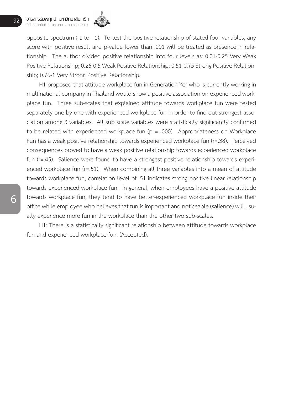

opposite spectrum (-1 to +1). To test the positive relationship of stated four variables, any score with positive result and p-value lower than .001 will be treated as presence in relationship. The author divided positive relationship into four levels as: 0.01-0.25 Very Weak Positive Relationship; 0.26-0.5 Weak Positive Relationship; 0.51-0.75 Strong Positive Relationship; 0.76-1 Very Strong Positive Relationship.

 H1 proposed that attitude workplace fun in Generation Yer who is currently working in multinational company in Thailand would show a positive association on experienced workplace fun. Three sub-scales that explained attitude towards workplace fun were tested separately one-by-one with experienced workplace fun in order to find out strongest association among 3 variables. All sub scale variables were statistically significantly confirmed to be related with experienced workplace fun  $(p = .000)$ . Appropriateness on Workplace Fun has a weak positive relationship towards experienced workplace fun (r=.38). Perceived consequences proved to have a weak positive relationship towards experienced workplace fun (r=.45). Salience were found to have a strongest positive relationship towards experienced workplace fun (r=.51). When combining all three variables into a mean of attitude towards workplace fun, correlation level of .51 indicates strong positive linear relationship towards experienced workplace fun. In general, when employees have a positive attitude towards workplace fun, they tend to have better-experienced workplace fun inside their office while employee who believes that fun is important and noticeable (salience) will usually experience more fun in the workplace than the other two sub-scales.

 H1: There is a statistically significant relationship between attitude towards workplace fun and experienced workplace fun. (Accepted).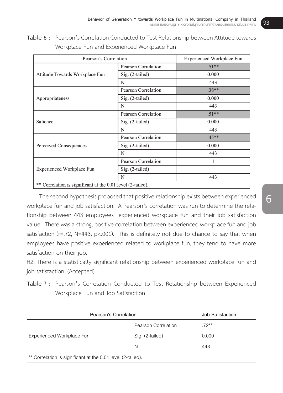Table 6: Pearson's Correlation Conducted to Test Relationship between Attitude towards Workplace Fun and Experienced Workplace Fun

| Pearson's Correlation                                       |                            | Experienced Workplace Fun |
|-------------------------------------------------------------|----------------------------|---------------------------|
|                                                             | <b>Pearson Correlation</b> | $.51**$                   |
| Attitude Towards Workplace Fun                              | Sig. (2-tailed)            | 0.000                     |
|                                                             | N                          | 443                       |
|                                                             | <b>Pearson Correlation</b> | $.38**$                   |
| Appropriateness                                             | Sig. (2-tailed)            | 0.000                     |
|                                                             | N                          | 443                       |
|                                                             | <b>Pearson Correlation</b> | $.51**$                   |
| Salience                                                    | Sig. (2-tailed)            | 0.000                     |
|                                                             | N                          | 443                       |
|                                                             | <b>Pearson Correlation</b> | $.45**$                   |
| Perceived Consequences                                      | Sig. (2-tailed)            | 0.000                     |
|                                                             | N                          | 443                       |
|                                                             | <b>Pearson Correlation</b> | 1                         |
| Experienced Workplace Fun                                   | Sig. (2-tailed)            |                           |
|                                                             | N                          | 443                       |
| ** Correlation is significant at the 0.01 level (2-tailed). |                            |                           |

The second hypothesis proposed that positive relationship exists between experienced tionship between 443 employees' experienced workplace fun and their job satisfaction value. There was a strong, positive correlation between experienced workplace fun and job satisfaction (r=.72, N=443, p<.001). This is definitely not due to chance to say that when proyers have positive experienced retated to womplace ran, they tend to have more The second hypothesis proposed that positive relationship exists between experienced workplace fun and job satisfaction. A Pearson's correlation was run to determine the relaemployees have positive experienced related to workplace fun, they tend to have more satisfaction on their job.

H2: There is a statistically significant relationship between experienced workplace fun and *H2: There is a statistically significant relationship between experienced workplace fun and job*  job satisfaction. (Accepted).

**Table 7 :** Pearson's Correlation Conducted to Test Relationship between Experienced Table 7 : Pearson's Correlation Conducted to Test Relationship between Experienced Workplace Fun and Job Satisfaction

| Pearson's Correlation                                       |                     | Job Satisfaction |  |
|-------------------------------------------------------------|---------------------|------------------|--|
|                                                             | Pearson Correlation | $.72***$         |  |
| Experienced Workplace Fun                                   | Sig. (2-tailed)     | 0.000            |  |
|                                                             | N                   | 443              |  |
| ** Correlation is significant at the 0.01 level (2-tailed). |                     |                  |  |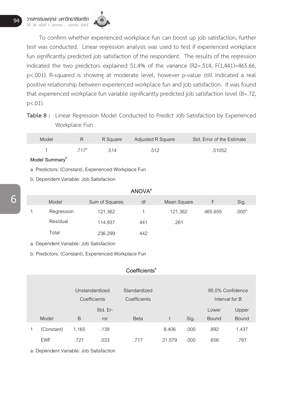

 To confirm whether experienced workplace fun can boost up job satisfaction, further test was conducted. Linear regression analysis was used to test if experienced workplace fun significantly predicted job satisfaction of the respondent. The results of the regression indicated the two predictors explained 51.4% of the variance (R2=.514, F(1,441)=465.66, p<.001). R-squared is showing at moderate level, however p-value still indicated a real positive relationship between experienced workplace fun and job satisfaction. It was found that experienced workplace fun variable significantly predicted job satisfaction level (B=.72,  $p<.01$ ).

**Table 8 :** Linear Regression Model Conducted to Predict Job Satisfaction by Experienced Workplace Fun

| Model |         |      | R Square Adjusted R Square | Std. Error of the Estimate |
|-------|---------|------|----------------------------|----------------------------|
|       | $717^a$ | .514 | .512                       | .51052                     |

Model Summary<sup>b</sup>

a. Predictors: (Constant), Experienced Workplace Fun

b. Dependent Variable: Job Satisfaction

|   |            |                | <b>ANOVA</b> <sup>a</sup> |             |         |                   |
|---|------------|----------------|---------------------------|-------------|---------|-------------------|
|   | Model      | Sum of Squares | df                        | Mean Square |         | Sig.              |
| 1 | Regression | 121.362        |                           | 121.362     | 465.655 | .000 <sup>b</sup> |
|   | Residual   | 114.937        | 441                       | .261        |         |                   |
|   | Total      | 236.299        | 442                       |             |         |                   |

a. Dependent Variable: Job Satisfaction

b. Predictors: (Constant), Experienced Workplace Fun

# Coefficients<sup>a</sup>

|            | Unstandardized<br>Coefficients |          | Standardized<br>Coefficients |        |      | 95.0% Confidence | Interval for B |
|------------|--------------------------------|----------|------------------------------|--------|------|------------------|----------------|
|            |                                | Std. Er- |                              |        |      | Lower            | Upper          |
| Model      | B                              | ror      | <b>Beta</b>                  |        | Sig. | <b>Bound</b>     | <b>Bound</b>   |
| (Constant) | 1.165                          | .139     |                              | 8.406  | .000 | .892             | 1.437          |
| <b>EWF</b> | .721                           | .033     | .717                         | 21.579 | .000 | .656             | .787           |

a. Dependent Variable: Job Satisfaction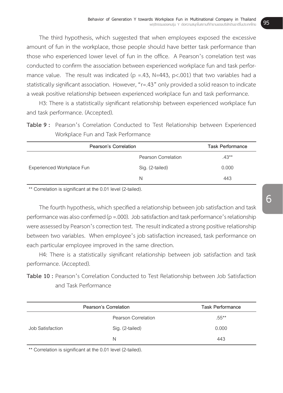The third hypothesis, which suggested that when employees exposed the excessive amount of fun in the workplace, those people should have better task performance than those who experienced lower level of fun in the office. A Pearson's correlation test was conducted to confirm the association between experienced workplace fun and task performance value. The result was indicated ( $p = 43$ ,  $N = 443$ ,  $p < .001$ ) that two variables had a statistically significant association. However, "r=.43" only provided a solid reason to indicate a weak positive relationship between experienced workplace fun and task performance.

 H3: There is a statistically significant relationship between experienced workplace fun and task performance. (Accepted).

**Table 9 :** Pearson's Correlation Conducted to Test Relationship between Experienced Workplace Fun and Task Performance

| Pearson's Correlation     |                     | <b>Task Performance</b> |
|---------------------------|---------------------|-------------------------|
|                           | Pearson Correlation | $.43***$                |
| Experienced Workplace Fun | Sig. (2-tailed)     | 0.000                   |
|                           | N                   | 443                     |

\*\* Correlation is significant at the 0.01 level (2-tailed).

The fourth hypothesis, which specified a relationship between job satisfaction and task performance was also confirmed ( $p = .000$ ). Job satisfaction and task performance's relationship were assessed by Pearson's correction test. The result indicated a strong positive relationship between two variables. When employee's job satisfaction increased, task performance on each particular employee improved in the same direction.

 H4: There is a statistically significant relationship between job satisfaction and task performance. (Accepted).

**Table 10 :** Pearson's Correlation Conducted to Test Relationship between Job Satisfaction and Task Performance

|                  | Pearson's Correlation | <b>Task Performance</b> |
|------------------|-----------------------|-------------------------|
|                  | Pearson Correlation   | $.55***$                |
| Job Satisfaction | Sig. (2-tailed)       | 0.000                   |
|                  | N                     | 443                     |

\*\* Correlation is significant at the 0.01 level (2-tailed).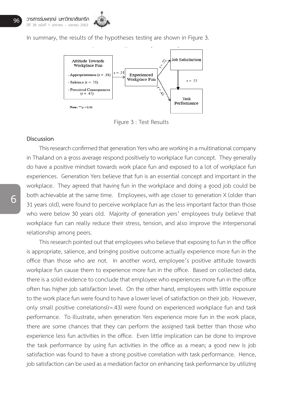

In summary, the results of the hypotheses testing are shown in Figure 3.



Figure 3 : Test Results

# **Discussion Discussion**

This research confirmed that generation Yers who are working in a multinational company in Thailand on a gross average respond positively to workplace fun concept. They generally do have a positive mindset towards work place fun and exposed to a lot of workplace fun experiences. Generation Yers believe that fun is an essential concept and important in the workplace. They agreed that having fun in the workplace and doing a good job could be both achievable at the same time. Employees, with age closer to generation X (older than  $\frac{1}{2}$ 31 years old), were found to perceive workplace fun as the less important factor than those who were below 30 years old. Majority of generation yers' employees truly believe that workplace fun can really reduce their stress, tension, and also improve the interpersonal relationship among peers. We also sold that workplace function years of generation years workplace function years. This research confirmed that generation Yers who are working in a multinational company

This research pointed out that employees who believe that exposing to fun in the office is appropriate, salience, and bringing positive outcome actually experience more fun in the office than those who are not. In another word, employee's positive attitude towards workplace fun cause them to experience more fun in the office. Based on collected data, there is a solid evidence to conclude that employee who experiences more fun in the office often has higher job satisfaction level. On the other hand, employees with little exposure to the work place fun were found to have a lower level of satisfaction on their job. However,<br>experiences that experiences more functional that experiences more functional that higher functional the office only small positive correlations(r=.43) were found on experienced workplace fun and task performance. To illustrate, when generation Yers experience more fun in the work place, there are some chances that they can perform the assigned task better than those who experience less fun activities in the office. Even little implication can be done to improve the task performance by using fun activities in the office as a mean; a good new is job satisfaction was found to have a strong positive correlation with task performance. Hence, performance. The reand to have a strong positive conclusion minitally performance interior, job satisfaction can be used as a mediation factor on enhancing task performance by utilizing ppropriate, satellite, and biniging positive outcome actually experience more rail in the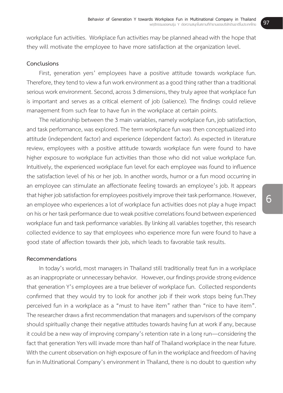workplace fun activities. Workplace fun activities may be planned ahead with the hope that they will motivate the employee to have more satisfaction at the organization level.

# **Conclusions**

 First, generation yers' employees have a positive attitude towards workplace fun. Therefore, they tend to view a fun work environment as a good thing rather than a traditional serious work environment. Second, across 3 dimensions, they truly agree that workplace fun is important and serves as a critical element of job (salience). The findings could relieve management from such fear to have fun in the workplace at certain points.

The relationship between the 3 main variables, namely workplace fun, job satisfaction, and task performance, was explored. The term workplace fun was then conceptualized into attitude (independent factor) and experience (dependent factor). As expected in literature review, employees with a positive attitude towards workplace fun were found to have higher exposure to workplace fun activities than those who did not value workplace fun. Intuitively, the experienced workplace fun level for each employee was found to influence the satisfaction level of his or her job. In another words, humor or a fun mood occurring in an employee can stimulate an affectionate feeling towards an employee's job. It appears that higher job satisfaction for employees positively improve their task performance. However, an employee who experiences a lot of workplace fun activities does not play a huge impact on his or her task performance due to weak positive correlations found between experienced workplace fun and task performance variables. By linking all variables together, this research collected evidence to say that employees who experience more fun were found to have a good state of affection towards their job, which leads to favorable task results.

#### **Recommendations**

 In today's world, most managers in Thailand still traditionally treat fun in a workplace as an inappropriate or unnecessary behavior. However, our findings provide strong evidence that generation Y's employees are a true believer of workplace fun. Collected respondents confirmed that they would try to look for another job if their work stops being fun.They perceived fun in a workplace as a "must to have item" rather than "nice to have item". The researcher draws a first recommendation that managers and supervisors of the company should spiritually change their negative attitudes towards having fun at work if any, because it could be a new way of improving company's retention rate in a long run—considering the fact that generation Yers will invade more than half of Thailand workplace in the near future. With the current observation on high exposure of fun in the workplace and freedom of having fun in Multinational Company's environment in Thailand, there is no doubt to question why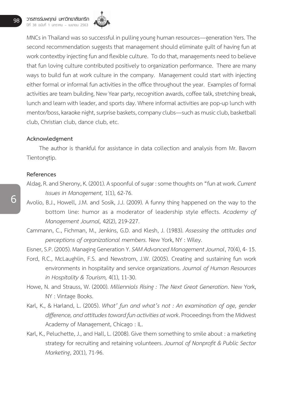

MNCs in Thailand was so successful in pulling young human resources—generation Yers. The second recommendation suggests that management should eliminate guilt of having fun at work contextby injecting fun and flexible culture. To do that, managements need to believe that fun loving culture contributed positively to organization performance. There are many ways to build fun at work culture in the company. Management could start with injecting either formal or informal fun activities in the office throughout the year. Examples of formal activities are team building, New Year party, recognition awards, coffee talk, stretching break, lunch and learn with leader, and sports day. Where informal activities are pop-up lunch with mentor/boss, karaoke night, surprise baskets, company clubs—such as music club, basketball club, Christian club, dance club, etc.

# **Acknowledgment**

 The author is thankful for assistance in data collection and analysis from Mr. Bavorn Tientongtip.

# **References**

- Aldag, R. and Sherony, K. (2001). A spoonful of sugar : some thoughts on "fun at work. *Current Issues in Management,* 1(1), 62-76.
- Avolio, B.J., Howell, J.M. and Sosik, J.J. (2009). A funny thing happened on the way to the bottom line: humor as a moderator of leadership style effects. *Academy of Management Journal,* 42(2), 219-227.
- Cammann, C., Fichman, M., Jenkins, G.D. and Klesh, J. (1983). *Assessing the attitudes and perceptions of organizational members.* New York, NY : Wiley.
- Eisner,S.P. (2005). Managing GenerationY.*SAM Advanced Management Journal*,70(4),4-15.
- Ford, R.C., McLaughlin, F.S. and Newstrom, J.W. (2005). Creating and sustaining fun work environments in hospitality and service organizations. *Journal of Human Resources in Hospitality & Tourism,* 4(1), 11-30.
- Howe, N. and Strauss, W. (2000). *Millennials Rising : The Next Great Generation*. New York, NY : Vintage Books.
- Karl, K., & Harland, L. (2005). *What' fun and what's not : An examination of age, gender*  difference, and attitudes toward fun activities at work. Proceedings from the Midwest Academy of Management, Chicago : IL.
- Karl, K., Peluchette, J., and Hall, L. (2008). Give them something to smile about : a marketing strategy for recruiting and retaining volunteers. *Journal of Nonprofit & Public Sector Marketing*, 20(1), 71-96.